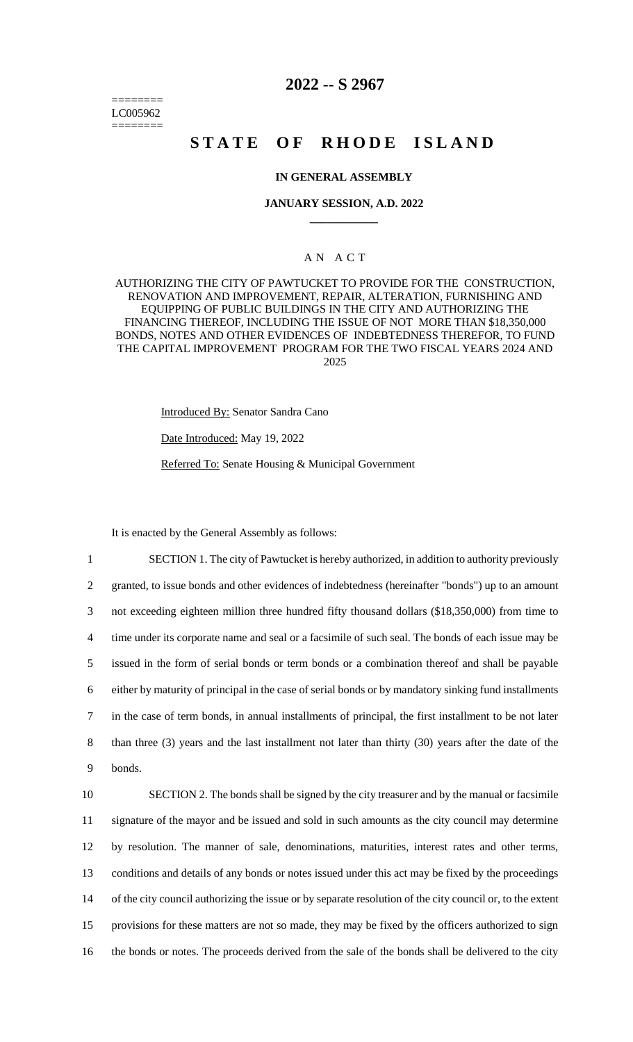======== LC005962 ========

## **2022 -- S 2967**

# **STATE OF RHODE ISLAND**

#### **IN GENERAL ASSEMBLY**

#### **JANUARY SESSION, A.D. 2022 \_\_\_\_\_\_\_\_\_\_\_\_**

### A N A C T

AUTHORIZING THE CITY OF PAWTUCKET TO PROVIDE FOR THE CONSTRUCTION, RENOVATION AND IMPROVEMENT, REPAIR, ALTERATION, FURNISHING AND EQUIPPING OF PUBLIC BUILDINGS IN THE CITY AND AUTHORIZING THE FINANCING THEREOF, INCLUDING THE ISSUE OF NOT MORE THAN \$18,350,000 BONDS, NOTES AND OTHER EVIDENCES OF INDEBTEDNESS THEREFOR, TO FUND THE CAPITAL IMPROVEMENT PROGRAM FOR THE TWO FISCAL YEARS 2024 AND 2025

Introduced By: Senator Sandra Cano

Date Introduced: May 19, 2022

Referred To: Senate Housing & Municipal Government

It is enacted by the General Assembly as follows:

 SECTION 1. The city of Pawtucket is hereby authorized, in addition to authority previously granted, to issue bonds and other evidences of indebtedness (hereinafter "bonds") up to an amount not exceeding eighteen million three hundred fifty thousand dollars (\$18,350,000) from time to time under its corporate name and seal or a facsimile of such seal. The bonds of each issue may be issued in the form of serial bonds or term bonds or a combination thereof and shall be payable either by maturity of principal in the case of serial bonds or by mandatory sinking fund installments in the case of term bonds, in annual installments of principal, the first installment to be not later than three (3) years and the last installment not later than thirty (30) years after the date of the 9 bonds.

 SECTION 2. The bonds shall be signed by the city treasurer and by the manual or facsimile 11 signature of the mayor and be issued and sold in such amounts as the city council may determine by resolution. The manner of sale, denominations, maturities, interest rates and other terms, conditions and details of any bonds or notes issued under this act may be fixed by the proceedings of the city council authorizing the issue or by separate resolution of the city council or, to the extent provisions for these matters are not so made, they may be fixed by the officers authorized to sign the bonds or notes. The proceeds derived from the sale of the bonds shall be delivered to the city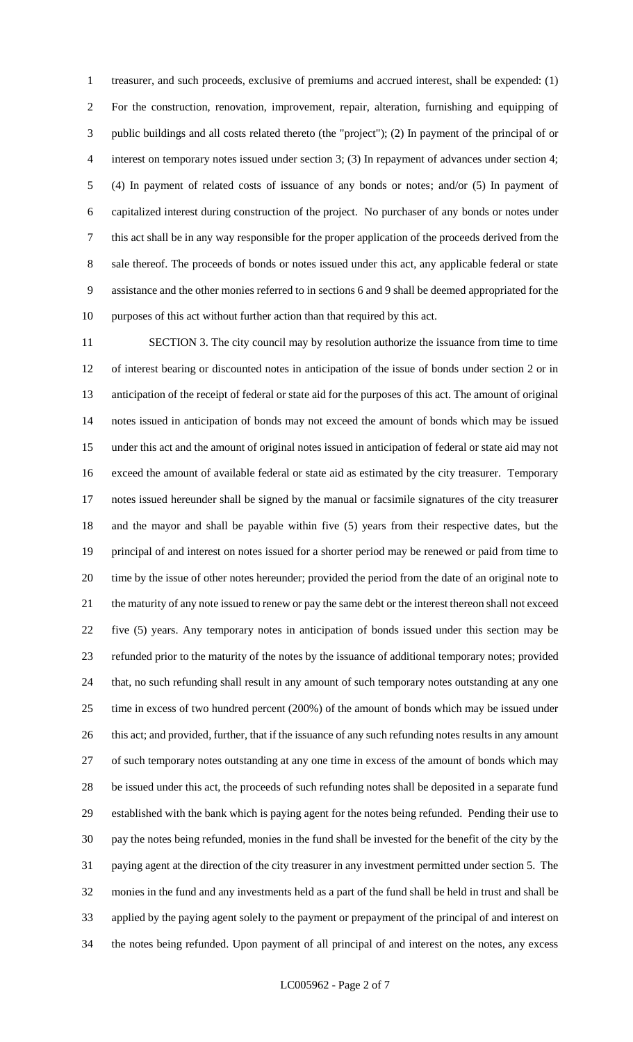treasurer, and such proceeds, exclusive of premiums and accrued interest, shall be expended: (1) For the construction, renovation, improvement, repair, alteration, furnishing and equipping of public buildings and all costs related thereto (the "project"); (2) In payment of the principal of or interest on temporary notes issued under section 3; (3) In repayment of advances under section 4; (4) In payment of related costs of issuance of any bonds or notes; and/or (5) In payment of capitalized interest during construction of the project. No purchaser of any bonds or notes under this act shall be in any way responsible for the proper application of the proceeds derived from the sale thereof. The proceeds of bonds or notes issued under this act, any applicable federal or state assistance and the other monies referred to in sections 6 and 9 shall be deemed appropriated for the purposes of this act without further action than that required by this act.

 SECTION 3. The city council may by resolution authorize the issuance from time to time of interest bearing or discounted notes in anticipation of the issue of bonds under section 2 or in anticipation of the receipt of federal or state aid for the purposes of this act. The amount of original notes issued in anticipation of bonds may not exceed the amount of bonds which may be issued under this act and the amount of original notes issued in anticipation of federal or state aid may not exceed the amount of available federal or state aid as estimated by the city treasurer. Temporary notes issued hereunder shall be signed by the manual or facsimile signatures of the city treasurer and the mayor and shall be payable within five (5) years from their respective dates, but the principal of and interest on notes issued for a shorter period may be renewed or paid from time to time by the issue of other notes hereunder; provided the period from the date of an original note to the maturity of any note issued to renew or pay the same debt or the interest thereon shall not exceed five (5) years. Any temporary notes in anticipation of bonds issued under this section may be refunded prior to the maturity of the notes by the issuance of additional temporary notes; provided that, no such refunding shall result in any amount of such temporary notes outstanding at any one time in excess of two hundred percent (200%) of the amount of bonds which may be issued under 26 this act; and provided, further, that if the issuance of any such refunding notes results in any amount of such temporary notes outstanding at any one time in excess of the amount of bonds which may be issued under this act, the proceeds of such refunding notes shall be deposited in a separate fund established with the bank which is paying agent for the notes being refunded. Pending their use to pay the notes being refunded, monies in the fund shall be invested for the benefit of the city by the paying agent at the direction of the city treasurer in any investment permitted under section 5. The monies in the fund and any investments held as a part of the fund shall be held in trust and shall be applied by the paying agent solely to the payment or prepayment of the principal of and interest on the notes being refunded. Upon payment of all principal of and interest on the notes, any excess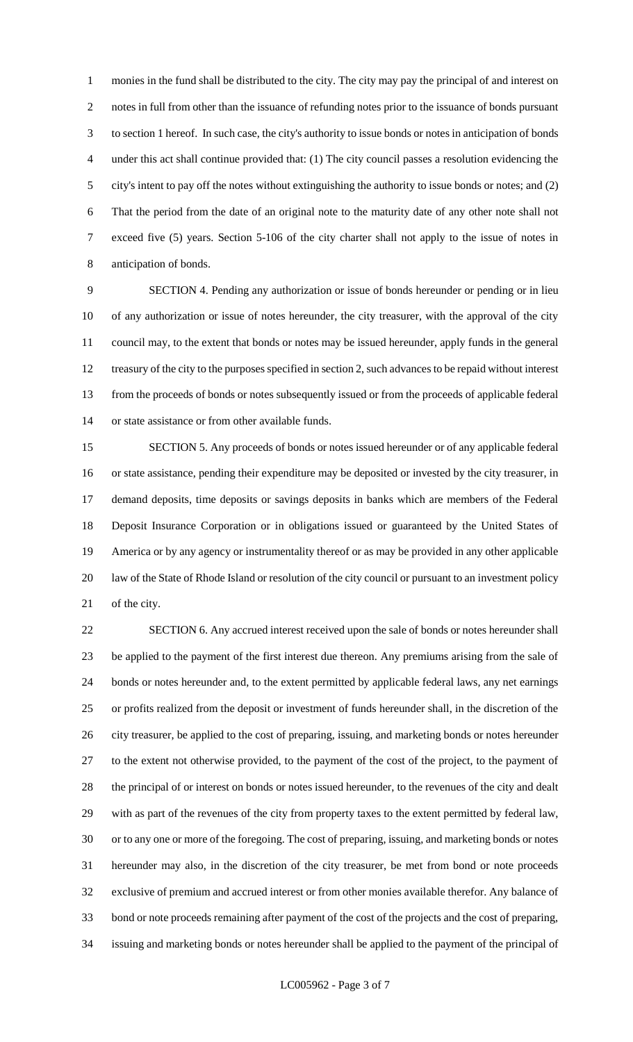monies in the fund shall be distributed to the city. The city may pay the principal of and interest on notes in full from other than the issuance of refunding notes prior to the issuance of bonds pursuant to section 1 hereof. In such case, the city's authority to issue bonds or notes in anticipation of bonds under this act shall continue provided that: (1) The city council passes a resolution evidencing the city's intent to pay off the notes without extinguishing the authority to issue bonds or notes; and (2) That the period from the date of an original note to the maturity date of any other note shall not exceed five (5) years. Section 5-106 of the city charter shall not apply to the issue of notes in anticipation of bonds.

 SECTION 4. Pending any authorization or issue of bonds hereunder or pending or in lieu of any authorization or issue of notes hereunder, the city treasurer, with the approval of the city council may, to the extent that bonds or notes may be issued hereunder, apply funds in the general treasury of the city to the purposes specified in section 2, such advances to be repaid without interest from the proceeds of bonds or notes subsequently issued or from the proceeds of applicable federal or state assistance or from other available funds.

 SECTION 5. Any proceeds of bonds or notes issued hereunder or of any applicable federal or state assistance, pending their expenditure may be deposited or invested by the city treasurer, in demand deposits, time deposits or savings deposits in banks which are members of the Federal Deposit Insurance Corporation or in obligations issued or guaranteed by the United States of America or by any agency or instrumentality thereof or as may be provided in any other applicable law of the State of Rhode Island or resolution of the city council or pursuant to an investment policy of the city.

 SECTION 6. Any accrued interest received upon the sale of bonds or notes hereunder shall be applied to the payment of the first interest due thereon. Any premiums arising from the sale of bonds or notes hereunder and, to the extent permitted by applicable federal laws, any net earnings or profits realized from the deposit or investment of funds hereunder shall, in the discretion of the city treasurer, be applied to the cost of preparing, issuing, and marketing bonds or notes hereunder to the extent not otherwise provided, to the payment of the cost of the project, to the payment of the principal of or interest on bonds or notes issued hereunder, to the revenues of the city and dealt with as part of the revenues of the city from property taxes to the extent permitted by federal law, or to any one or more of the foregoing. The cost of preparing, issuing, and marketing bonds or notes hereunder may also, in the discretion of the city treasurer, be met from bond or note proceeds exclusive of premium and accrued interest or from other monies available therefor. Any balance of bond or note proceeds remaining after payment of the cost of the projects and the cost of preparing, issuing and marketing bonds or notes hereunder shall be applied to the payment of the principal of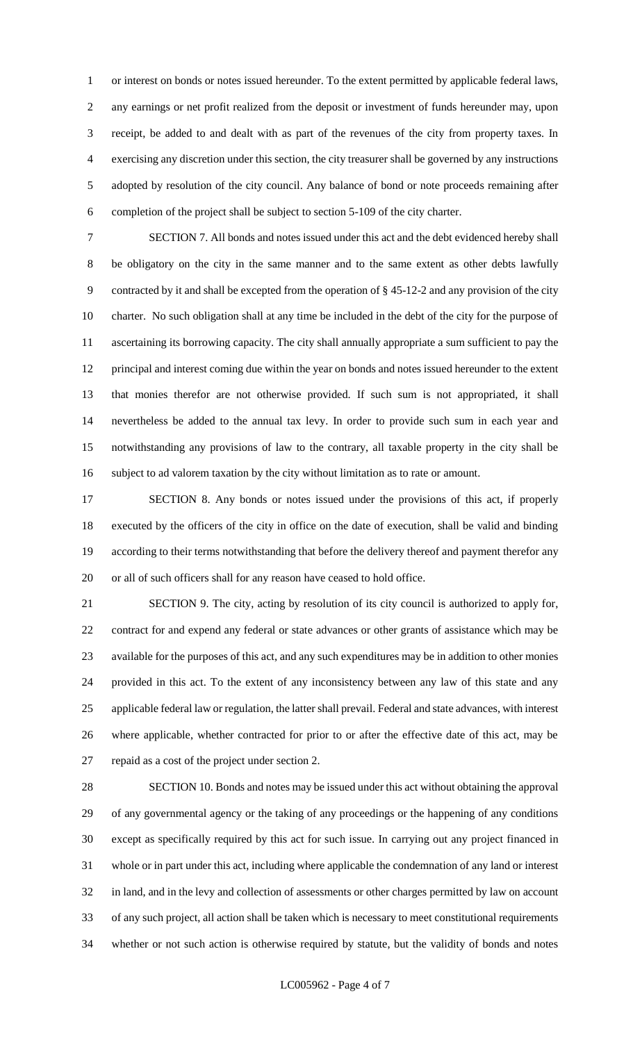or interest on bonds or notes issued hereunder. To the extent permitted by applicable federal laws, any earnings or net profit realized from the deposit or investment of funds hereunder may, upon receipt, be added to and dealt with as part of the revenues of the city from property taxes. In exercising any discretion under this section, the city treasurer shall be governed by any instructions adopted by resolution of the city council. Any balance of bond or note proceeds remaining after completion of the project shall be subject to section 5-109 of the city charter.

 SECTION 7. All bonds and notes issued under this act and the debt evidenced hereby shall be obligatory on the city in the same manner and to the same extent as other debts lawfully contracted by it and shall be excepted from the operation of § 45-12-2 and any provision of the city charter. No such obligation shall at any time be included in the debt of the city for the purpose of ascertaining its borrowing capacity. The city shall annually appropriate a sum sufficient to pay the principal and interest coming due within the year on bonds and notes issued hereunder to the extent that monies therefor are not otherwise provided. If such sum is not appropriated, it shall nevertheless be added to the annual tax levy. In order to provide such sum in each year and notwithstanding any provisions of law to the contrary, all taxable property in the city shall be subject to ad valorem taxation by the city without limitation as to rate or amount.

 SECTION 8. Any bonds or notes issued under the provisions of this act, if properly executed by the officers of the city in office on the date of execution, shall be valid and binding according to their terms notwithstanding that before the delivery thereof and payment therefor any or all of such officers shall for any reason have ceased to hold office.

 SECTION 9. The city, acting by resolution of its city council is authorized to apply for, contract for and expend any federal or state advances or other grants of assistance which may be available for the purposes of this act, and any such expenditures may be in addition to other monies provided in this act. To the extent of any inconsistency between any law of this state and any applicable federal law or regulation, the latter shall prevail. Federal and state advances, with interest where applicable, whether contracted for prior to or after the effective date of this act, may be repaid as a cost of the project under section 2.

 SECTION 10. Bonds and notes may be issued under this act without obtaining the approval of any governmental agency or the taking of any proceedings or the happening of any conditions except as specifically required by this act for such issue. In carrying out any project financed in whole or in part under this act, including where applicable the condemnation of any land or interest in land, and in the levy and collection of assessments or other charges permitted by law on account of any such project, all action shall be taken which is necessary to meet constitutional requirements whether or not such action is otherwise required by statute, but the validity of bonds and notes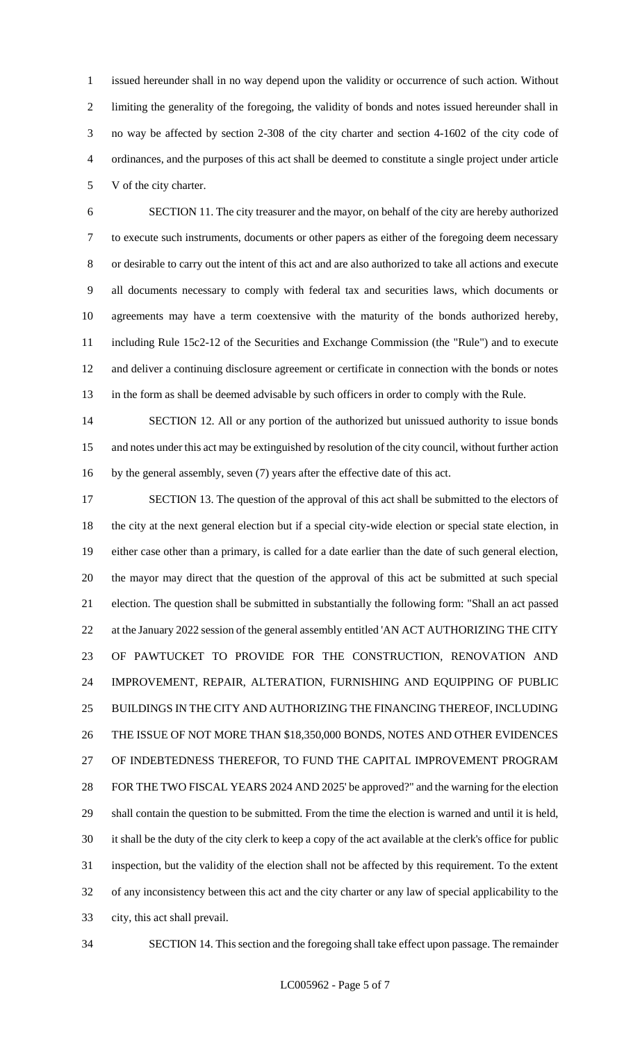issued hereunder shall in no way depend upon the validity or occurrence of such action. Without limiting the generality of the foregoing, the validity of bonds and notes issued hereunder shall in no way be affected by section 2-308 of the city charter and section 4-1602 of the city code of ordinances, and the purposes of this act shall be deemed to constitute a single project under article V of the city charter.

 SECTION 11. The city treasurer and the mayor, on behalf of the city are hereby authorized to execute such instruments, documents or other papers as either of the foregoing deem necessary or desirable to carry out the intent of this act and are also authorized to take all actions and execute all documents necessary to comply with federal tax and securities laws, which documents or agreements may have a term coextensive with the maturity of the bonds authorized hereby, including Rule 15c2-12 of the Securities and Exchange Commission (the "Rule") and to execute and deliver a continuing disclosure agreement or certificate in connection with the bonds or notes in the form as shall be deemed advisable by such officers in order to comply with the Rule.

14 SECTION 12. All or any portion of the authorized but unissued authority to issue bonds and notes under this act may be extinguished by resolution of the city council, without further action by the general assembly, seven (7) years after the effective date of this act.

17 SECTION 13. The question of the approval of this act shall be submitted to the electors of the city at the next general election but if a special city-wide election or special state election, in either case other than a primary, is called for a date earlier than the date of such general election, the mayor may direct that the question of the approval of this act be submitted at such special election. The question shall be submitted in substantially the following form: "Shall an act passed 22 at the January 2022 session of the general assembly entitled 'AN ACT AUTHORIZING THE CITY OF PAWTUCKET TO PROVIDE FOR THE CONSTRUCTION, RENOVATION AND IMPROVEMENT, REPAIR, ALTERATION, FURNISHING AND EQUIPPING OF PUBLIC BUILDINGS IN THE CITY AND AUTHORIZING THE FINANCING THEREOF, INCLUDING THE ISSUE OF NOT MORE THAN \$18,350,000 BONDS, NOTES AND OTHER EVIDENCES OF INDEBTEDNESS THEREFOR, TO FUND THE CAPITAL IMPROVEMENT PROGRAM FOR THE TWO FISCAL YEARS 2024 AND 2025' be approved?" and the warning for the election shall contain the question to be submitted. From the time the election is warned and until it is held, it shall be the duty of the city clerk to keep a copy of the act available at the clerk's office for public inspection, but the validity of the election shall not be affected by this requirement. To the extent of any inconsistency between this act and the city charter or any law of special applicability to the city, this act shall prevail.

SECTION 14. This section and the foregoing shall take effect upon passage. The remainder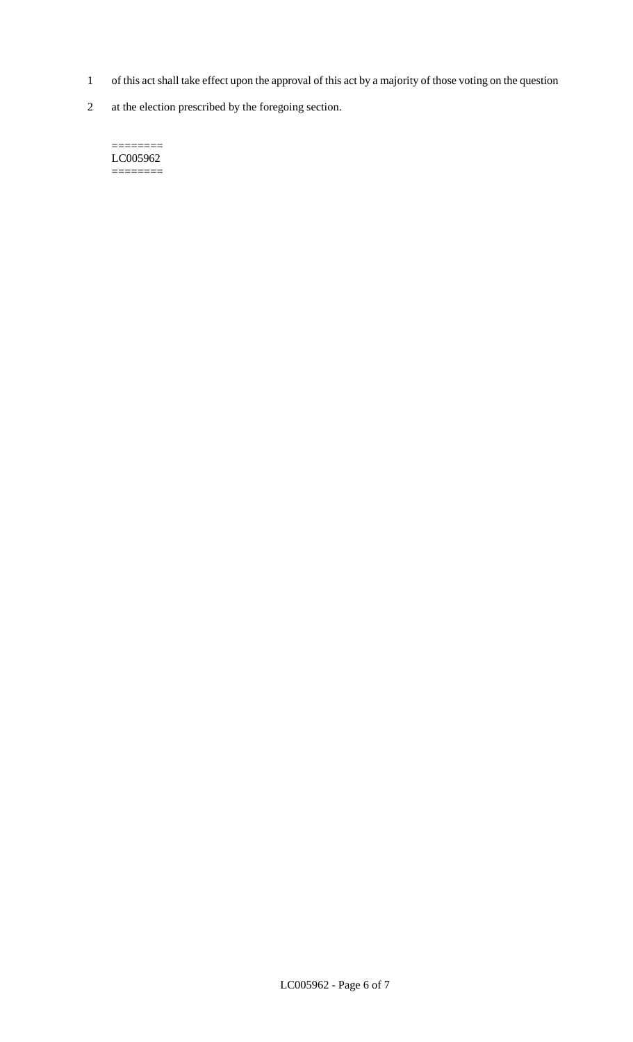- 1 of this act shall take effect upon the approval of this act by a majority of those voting on the question
- 2 at the election prescribed by the foregoing section.

======== LC005962  $=$